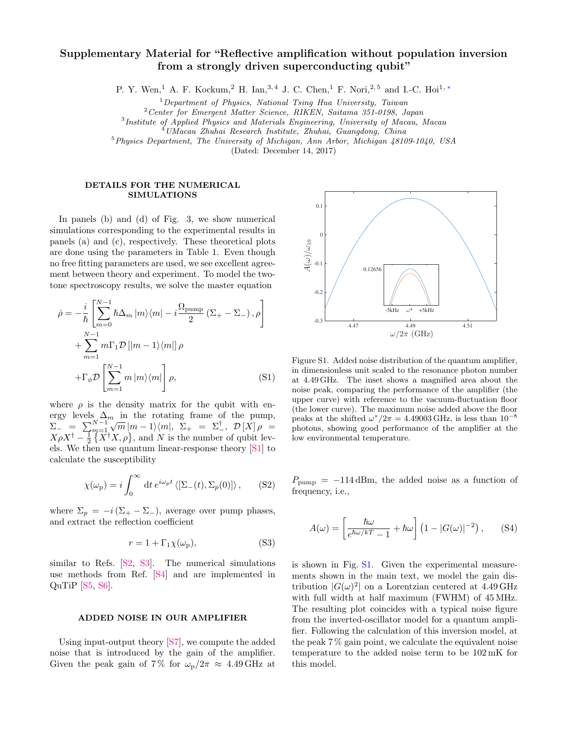## Supplementary Material for "Reflective amplification without population inversion from a strongly driven superconducting qubit"

P. Y. Wen,<sup>1</sup> A. F. Kockum,<sup>2</sup> H. Ian,<sup>3,4</sup> J. C. Chen,<sup>1</sup> F. Nori,<sup>2,5</sup> and I.-C. Hoi<sup>1,\*</sup>

 $1$  Department of Physics, National Tsing Hua University, Taiwan

<sup>2</sup>Center for Emergent Matter Science, RIKEN, Saitama 351-0198, Japan

<sup>3</sup>Institute of Applied Physics and Materials Engineering, University of Macau, Macau

 $^{4}$ UMacau Zhuhai Research Institute, Zhuhai, Guangdong, China

 $5$ Physics Department, The University of Michigan, Ann Arbor, Michigan  $\mu$ 8109-1040, USA

(Dated: December 14, 2017)

## DETAILS FOR THE NUMERICAL SIMULATIONS

In panels (b) and (d) of Fig. 3, we show numerical simulations corresponding to the experimental results in panels (a) and (c), respectively. These theoretical plots are done using the parameters in Table 1. Even though no free fitting parameters are used, we see excellent agreement between theory and experiment. To model the twotone spectroscopy results, we solve the master equation

$$
\dot{\rho} = -\frac{i}{\hbar} \left[ \sum_{m=0}^{N-1} \hbar \Delta_m |m\rangle \langle m| - i \frac{\Omega_{\text{pump}}}{2} (\Sigma_+ - \Sigma_-), \rho \right] + \sum_{m=1}^{N-1} m \Gamma_1 \mathcal{D} \left[ |m-1\rangle \langle m| \right] \rho + \Gamma_{\phi} \mathcal{D} \left[ \sum_{m=1}^{N-1} m |m\rangle \langle m| \right] \rho, \qquad (S1)
$$

where  $\rho$  is the density matrix for the qubit with energy levels  $\Delta_m$  in the rotating frame of the pump,  $\Sigma^{-} = \sum_{m=1}^{N-1}$  $\sqrt{m} |m-1\rangle\langle m|, \ \Sigma_{+} = \Sigma_{-}^{\dagger}, \ \mathcal{D}[X]\rho =$  $X\rho X^{\dagger} - \frac{1}{2} \{X^{\dagger} X, \rho\}$ , and *N* is the number of qubit levels. We then use quantum linear-response theory [\[S1\]](#page-1-1) to calculate the susceptibility

$$
\chi(\omega_{\rm p}) = i \int_0^\infty dt \, e^{i\omega_{\rm p}t} \langle [\Sigma_-(t), \Sigma_p(0)] \rangle \,, \qquad \text{(S2)}
$$

where  $\Sigma_p = -i(\Sigma_+ - \Sigma_-)$ , average over pump phases, and extract the reflection coefficient

$$
r = 1 + \Gamma_1 \chi(\omega_{\rm p}),\tag{S3}
$$

similar to Refs. [\[S2,](#page-1-2) [S3\]](#page-1-3). The numerical simulations use methods from Ref. [\[S4\]](#page-1-4) and are implemented in QuTiP [\[S5,](#page-1-5) [S6\]](#page-1-6).

## ADDED NOISE IN OUR AMPLIFIER

Using input-output theory [\[S7\]](#page-1-7), we compute the added noise that is introduced by the gain of the amplifier. Given the peak gain of 7% for  $\omega_p/2\pi \approx 4.49 \text{ GHz at}$ 



<span id="page-0-0"></span>Figure S1. Added noise distribution of the quantum amplifier, in dimensionless unit scaled to the resonance photon number at 4.49 GHz. The inset shows a magnified area about the noise peak, comparing the performance of the amplifier (the upper curve) with reference to the vacuum-fluctuation floor (the lower curve). The maximum noise added above the floor peaks at the shifted  $\omega^*/2\pi = 4.49003$  GHz, is less than  $10^{-8}$ photons, showing good performance of the amplifier at the low environmental temperature.

 $P_{\text{pump}} = -114 \,\text{dBm}$ , the added noise as a function of frequency, i.e.,

$$
A(\omega) = \left[\frac{\hbar\omega}{e^{\hbar\omega/kT} - 1} + \hbar\omega\right] \left(1 - |G(\omega)|^{-2}\right), \quad (S4)
$$

is shown in Fig. [S1.](#page-0-0) Given the experimental measurements shown in the main text, we model the gain distribution  $|G(\omega)|^2$  on a Lorentzian centered at 4.49 GHz with full width at half maximum (FWHM) of 45 MHz. The resulting plot coincides with a typical noise figure from the inverted-oscillator model for a quantum amplifier. Following the calculation of this inversion model, at the peak 7 % gain point, we calculate the equivalent noise temperature to the added noise term to be 102 mK for this model.